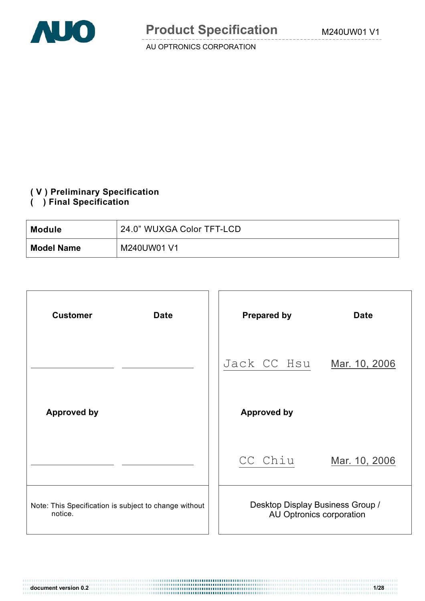

#### **( V ) Preliminary Specification**

**( ) Final Specification** 

| Module            | 24.0" WUXGA Color TFT-LCD |
|-------------------|---------------------------|
| <b>Model Name</b> | M240UW01 V1               |

| <b>Customer</b><br><b>Date</b>                                   |  | <b>Prepared by</b>                                           | <b>Date</b>   |  |  |  |
|------------------------------------------------------------------|--|--------------------------------------------------------------|---------------|--|--|--|
|                                                                  |  | Jack CC Hsu                                                  | Mar. 10, 2006 |  |  |  |
| <b>Approved by</b>                                               |  | <b>Approved by</b>                                           |               |  |  |  |
|                                                                  |  | CC Chiu                                                      | Mar. 10, 2006 |  |  |  |
| Note: This Specification is subject to change without<br>notice. |  | Desktop Display Business Group /<br>AU Optronics corporation |               |  |  |  |

**document version 0.2 1/28**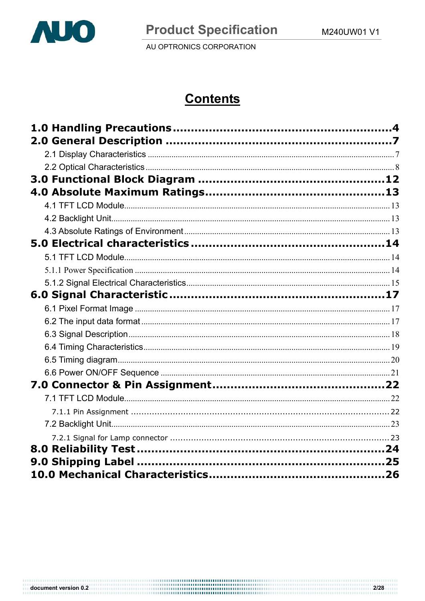

# **Contents**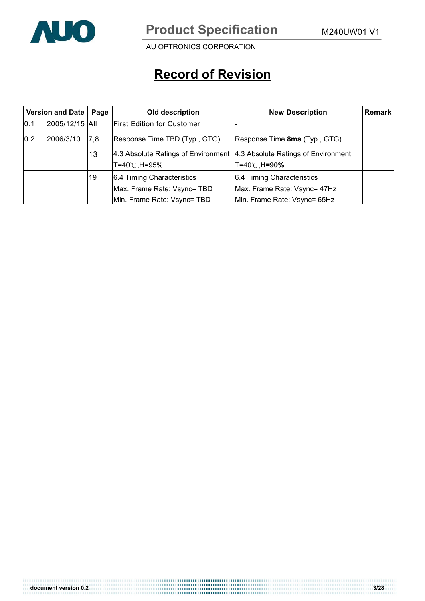

AU OPTRONICS CORPORATION

# **Record of Revision**

| <b>Version and Date</b><br>Page |                |     | Old description                                                         | <b>New Description</b>        | Remark |
|---------------------------------|----------------|-----|-------------------------------------------------------------------------|-------------------------------|--------|
| 10.1                            | 2005/12/15 All |     | <b>First Edition for Customer</b>                                       |                               |        |
| 0.2                             | 2006/3/10      | 7,8 | Response Time TBD (Typ., GTG)                                           | Response Time 8ms (Typ., GTG) |        |
|                                 |                | 13  | 4.3 Absolute Ratings of Environment 4.3 Absolute Ratings of Environment |                               |        |
|                                 |                |     | T=40℃,H=95%                                                             | T=40℃, <b>H=90%</b>           |        |
|                                 |                | 19  | 6.4 Timing Characteristics                                              | 6.4 Timing Characteristics    |        |
|                                 |                |     | Max. Frame Rate: Vsync= TBD                                             | Max. Frame Rate: Vsync= 47Hz  |        |
|                                 |                |     | Min. Frame Rate: Vsync= TBD                                             | Min. Frame Rate: Vsync= 65Hz  |        |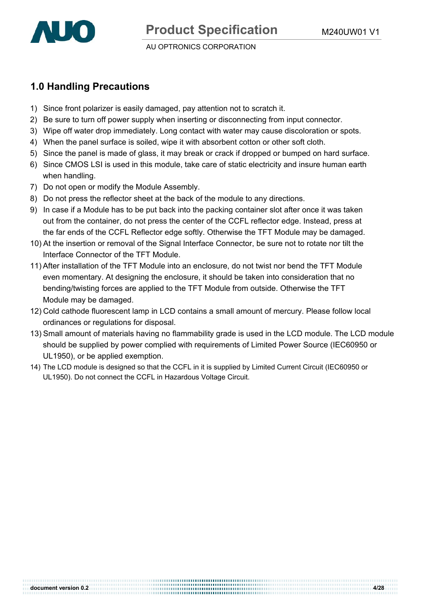

# **1.0 Handling Precautions**

- 1) Since front polarizer is easily damaged, pay attention not to scratch it.
- 2) Be sure to turn off power supply when inserting or disconnecting from input connector.
- 3) Wipe off water drop immediately. Long contact with water may cause discoloration or spots.
- 4) When the panel surface is soiled, wipe it with absorbent cotton or other soft cloth.
- 5) Since the panel is made of glass, it may break or crack if dropped or bumped on hard surface.
- 6) Since CMOS LSI is used in this module, take care of static electricity and insure human earth when handling.
- 7) Do not open or modify the Module Assembly.
- 8) Do not press the reflector sheet at the back of the module to any directions.
- 9) In case if a Module has to be put back into the packing container slot after once it was taken out from the container, do not press the center of the CCFL reflector edge. Instead, press at the far ends of the CCFL Reflector edge softly. Otherwise the TFT Module may be damaged.
- 10) At the insertion or removal of the Signal Interface Connector, be sure not to rotate nor tilt the Interface Connector of the TFT Module.
- 11) After installation of the TFT Module into an enclosure, do not twist nor bend the TFT Module even momentary. At designing the enclosure, it should be taken into consideration that no bending/twisting forces are applied to the TFT Module from outside. Otherwise the TFT Module may be damaged.
- 12) Cold cathode fluorescent lamp in LCD contains a small amount of mercury. Please follow local ordinances or regulations for disposal.
- 13) Small amount of materials having no flammability grade is used in the LCD module. The LCD module should be supplied by power complied with requirements of Limited Power Source (IEC60950 or UL1950), or be applied exemption.
- 14) The LCD module is designed so that the CCFL in it is supplied by Limited Current Circuit (IEC60950 or UL1950). Do not connect the CCFL in Hazardous Voltage Circuit.

**document version 0.2** 4/28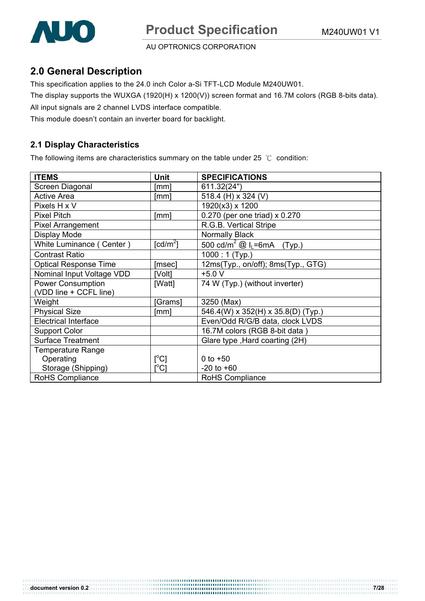

### **2.0 General Description**

This specification applies to the 24.0 inch Color a-Si TFT-LCD Module M240UW01.

The display supports the WUXGA (1920(H) x 1200(V)) screen format and 16.7M colors (RGB 8-bits data).

All input signals are 2 channel LVDS interface compatible.

This module doesn't contain an inverter board for backlight.

#### **2.1 Display Characteristics**

The following items are characteristics summary on the table under 25  $\degree$ C condition:

| <b>ITEMS</b>                 | Unit                                | <b>SPECIFICATIONS</b>                                          |
|------------------------------|-------------------------------------|----------------------------------------------------------------|
| Screen Diagonal              | [mm]                                | 611.32(24")                                                    |
| <b>Active Area</b>           | [mm]                                | 518.4 (H) x 324 (V)                                            |
| Pixels H x V                 |                                     | 1920(x3) x 1200                                                |
| <b>Pixel Pitch</b>           | [mm]                                | 0.270 (per one triad) x 0.270                                  |
| <b>Pixel Arrangement</b>     |                                     | R.G.B. Vertical Stripe                                         |
| Display Mode                 |                                     | Normally Black                                                 |
| White Luminance (Center)     | $\lceil$ cd/m <sup>2</sup> $\rceil$ | $\frac{1}{500}$ cd/m <sup>2</sup> @ I <sub>L</sub> =6mA (Typ.) |
| <b>Contrast Ratio</b>        |                                     | $1000:1$ (Typ.)                                                |
| <b>Optical Response Time</b> | [msec]                              | 12ms(Typ., on/off); 8ms(Typ., GTG)                             |
| Nominal Input Voltage VDD    | [Volt]                              | $+5.0V$                                                        |
| <b>Power Consumption</b>     | [Watt]                              | 74 W (Typ.) (without inverter)                                 |
| (VDD line + CCFL line)       |                                     |                                                                |
| Weight                       | [Grams]                             | 3250 (Max)                                                     |
| <b>Physical Size</b>         | [mm]                                | 546.4(W) x 352(H) x 35.8(D) (Typ.)                             |
| <b>Electrical Interface</b>  |                                     | Even/Odd R/G/B data, clock LVDS                                |
| <b>Support Color</b>         |                                     | 16.7M colors (RGB 8-bit data)                                  |
| <b>Surface Treatment</b>     |                                     | Glare type, Hard coarting (2H)                                 |
| <b>Temperature Range</b>     |                                     |                                                                |
| Operating                    | [°C]                                | 0 to $+50$                                                     |
| Storage (Shipping)           | $\mathop{\rm l}{\rm ^oC1}$          | $-20$ to $+60$                                                 |
| RoHS Compliance              |                                     | RoHS Compliance                                                |

**document version 0.2 7/28**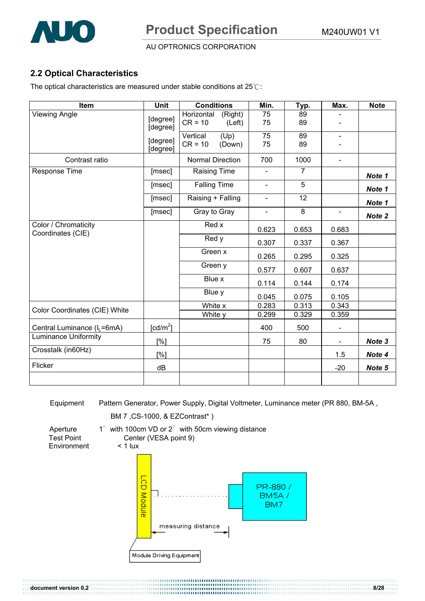

### **2.2 Optical Characteristics**

The optical characteristics are measured under stable conditions at  $25^\circ$ C:

| Item                                      | <b>Unit</b>          | <b>Conditions</b>                            | Min.                  | Typ.           | Max.                             | <b>Note</b> |
|-------------------------------------------|----------------------|----------------------------------------------|-----------------------|----------------|----------------------------------|-------------|
| <b>Viewing Angle</b>                      | [degree]<br>[degree] | Horizontal<br>(Right)<br>$CR = 10$<br>(Left) | 75<br>75              | 89<br>89       | $\overline{\phantom{a}}$         |             |
|                                           | [degree]<br>[degree] | (Up)<br>Vertical<br>$CR = 10$<br>(Down)      | $\overline{75}$<br>75 | 89<br>89       | $\blacksquare$<br>$\blacksquare$ |             |
| Contrast ratio                            |                      | <b>Normal Direction</b>                      | 700                   | 1000           | $\overline{\phantom{a}}$         |             |
| Response Time                             | [msec]               | <b>Raising Time</b>                          | ä,                    | $\overline{7}$ |                                  | Note 1      |
|                                           | [msec]               | <b>Falling Time</b>                          | $\blacksquare$        | 5              |                                  | Note 1      |
|                                           | [msec]               | Raising + Falling                            | $\blacksquare$        | 12             |                                  | Note 1      |
|                                           | [msec]               | Gray to Gray                                 | $\blacksquare$        | 8              | $\blacksquare$                   | Note 2      |
| Color / Chromaticity<br>Coordinates (CIE) |                      | Red x                                        | 0.623                 | 0.653          | 0.683                            |             |
|                                           |                      | Red y                                        | 0.307                 | 0.337          | 0.367                            |             |
|                                           |                      | Green x                                      | 0.265                 | 0.295          | 0.325                            |             |
|                                           |                      | Green y                                      | 0.577                 | 0.607          | 0.637                            |             |
|                                           |                      | Blue x                                       | 0.114                 | 0.144          | 0.174                            |             |
|                                           |                      | Blue y                                       | 0.045                 | 0.075          | 0.105                            |             |
| Color Coordinates (CIE) White             |                      | White x                                      | 0.283                 | 0.313          | 0.343                            |             |
|                                           |                      | White y                                      | 0.299                 | 0.329          | 0.359                            |             |
| Central Luminance (I <sub>L</sub> =6mA)   | [ $cd/m2$ ]          |                                              | 400                   | 500            | $\blacksquare$                   |             |
| <b>Luminance Uniformity</b>               | [%]                  |                                              | 75                    | 80             | $\blacksquare$                   | Note 3      |
| Crosstalk (in60Hz)                        | [%]                  |                                              |                       |                | 1.5                              | Note 4      |
| Flicker                                   | dB                   |                                              |                       |                | $-20$                            | Note 5      |
|                                           |                      |                                              |                       |                |                                  |             |

Equipment Pattern Generator, Power Supply, Digital Voltmeter, Luminance meter (PR 880, BM-5A ,

**document version 0.2 8/28** 

BM 7 ,CS-1000, & EZContrast\* )

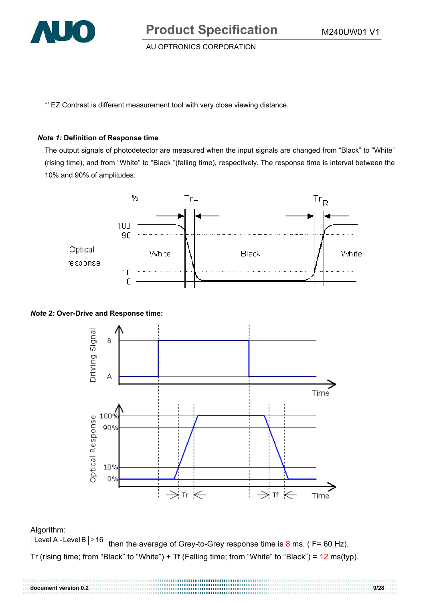

AU OPTRONICS CORPORATION

\*' EZ Contrast is different measurement tool with very close viewing distance.

#### *Note 1:* **Definition of Response time**

The output signals of photodetector are measured when the input signals are changed from "Black" to "White" (rising time), and from "White" to "Black "(falling time), respectively. The response time is interval between the 10% and 90% of amplitudes.



#### *Note 2:* **Over-Drive and Response time:**



Algorithm:<br>|Level A - Level B |≥16 then the average of Grey-to-Grey response time is  $8 \text{ ms}$ . ( F= 60 Hz). Tr (rising time; from "Black" to "White") + Tf (Falling time; from "White" to "Black") =  $12 \text{ ms(typ)}$ .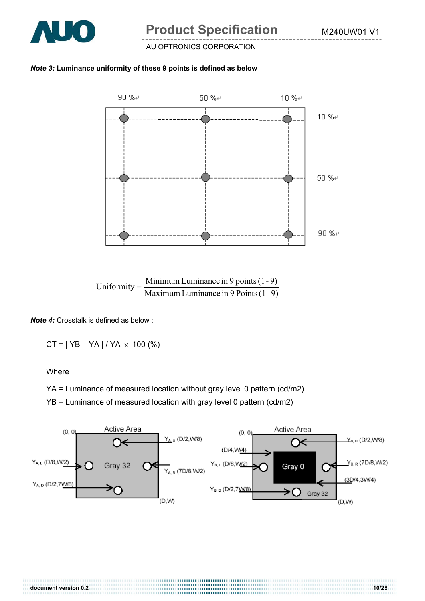

#### AU OPTRONICS CORPORATION

#### *Note 3:* **Luminance uniformity of these 9 points is defined as below**





*Note 4:* Crosstalk is defined as below :

 $CT = | YB - YA | / YA \times 100 (%)$ 

Where

YA = Luminance of measured location without gray level 0 pattern (cd/m2)

YB = Luminance of measured location with gray level 0 pattern (cd/m2)



............................

**document version 0.2** 10/28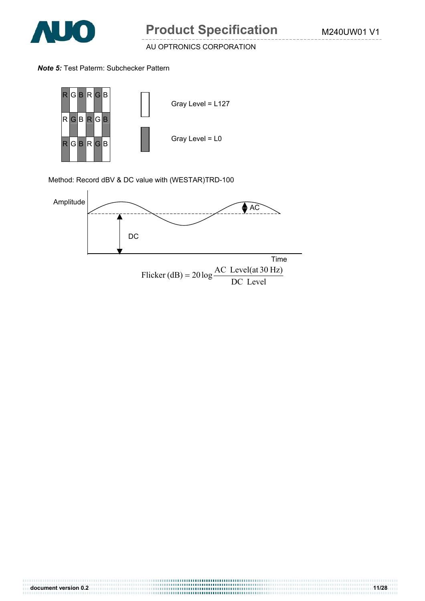

#### *Note 5:* Test Paterm: Subchecker Pattern



Method: Record dBV & DC value with (WESTAR)TRD-100



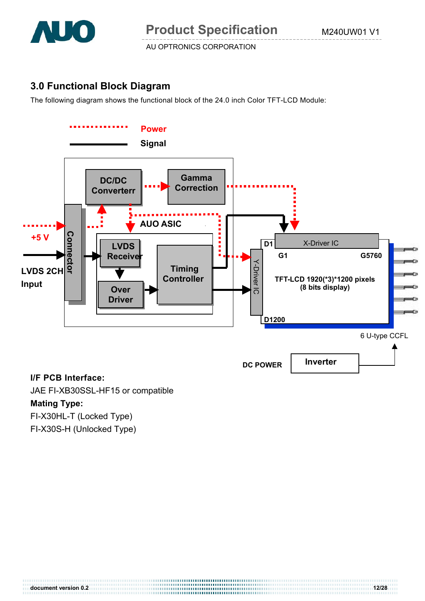

# **3.0 Functional Block Diagram**

The following diagram shows the functional block of the 24.0 inch Color TFT-LCD Module:



#### **I/F PCB Interface:**

JAE FI-XB30SSL-HF15 or compatible

### **Mating Type:**

FI-X30HL-T (Locked Type)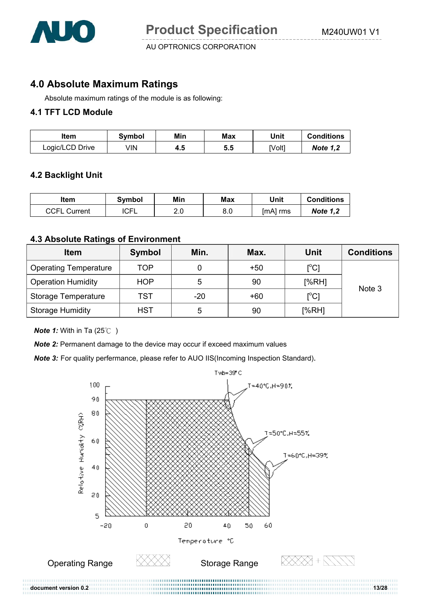

### **4.0 Absolute Maximum Ratings**

Absolute maximum ratings of the module is as following:

#### **4.1 TFT LCD Module**

| ltem            | Svmbol | Min | Max | Unit  | <b>Conditions</b> |
|-----------------|--------|-----|-----|-------|-------------------|
| Logic/LCD Drive | √lN    | 4.5 | 5.5 | [Volt | <b>Note 1,2</b>   |

#### **4.2 Backlight Unit**

| ltem                | Svmbol      | Min      | Max | Unit       | <b>Conditions</b> |
|---------------------|-------------|----------|-----|------------|-------------------|
| <b>CCFL Current</b> | <b>ICFL</b> | ົ<br>۷.c | 8.0 | $[mA]$ rms | <b>Note 1,2</b>   |

#### **4.3 Absolute Ratings of Environment**

| <b>Item</b>                  | Symbol     | Min.  | Max.  | <b>Unit</b>       | <b>Conditions</b> |  |
|------------------------------|------------|-------|-------|-------------------|-------------------|--|
| <b>Operating Temperature</b> | <b>TOP</b> |       | $+50$ | $[^{\circ}C]$     |                   |  |
| <b>Operation Humidity</b>    | <b>HOP</b> | 5     | 90    | [%RH]             | Note 3            |  |
| <b>Storage Temperature</b>   | TST        | $-20$ | $+60$ | $\rm [^{\circ}C]$ |                   |  |
| <b>Storage Humidity</b>      | <b>HST</b> | 5     | 90    | [%RH]             |                   |  |

*Note 1:* With in Ta (25°C)

**Note 2:** Permanent damage to the device may occur if exceed maximum values

*Note 3:* For quality perfermance, please refer to AUO IIS(Incoming Inspection Standard).

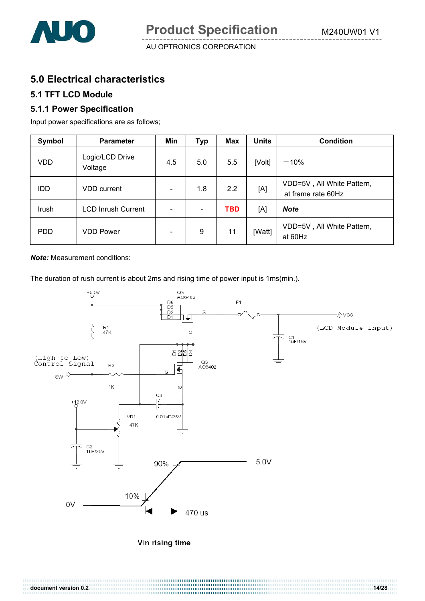

# **5.0 Electrical characteristics**

#### **5.1 TFT LCD Module**

#### **5.1.1 Power Specification**

Input power specifications are as follows;

| Symbol     | <b>Parameter</b>           | Min                          | Typ                      | Max        | <b>Units</b> | <b>Condition</b>                                 |
|------------|----------------------------|------------------------------|--------------------------|------------|--------------|--------------------------------------------------|
| <b>VDD</b> | Logic/LCD Drive<br>Voltage | 4.5                          | 5.0                      | 5.5        | [Volt]       | ±10%                                             |
| <b>IDD</b> | <b>VDD</b> current         | $\qquad \qquad \blacksquare$ | 1.8                      | 2.2        | [A]          | VDD=5V, All White Pattern,<br>at frame rate 60Hz |
| Irush      | <b>LCD Inrush Current</b>  |                              | $\overline{\phantom{a}}$ | <b>TBD</b> | [A]          | <b>Note</b>                                      |
| <b>PDD</b> | <b>VDD Power</b>           |                              | 9                        | 11         | [Watt]       | VDD=5V, All White Pattern,<br>at 60Hz            |

*Note:* Measurement conditions:

The duration of rush current is about 2ms and rising time of power input is 1ms(min.).

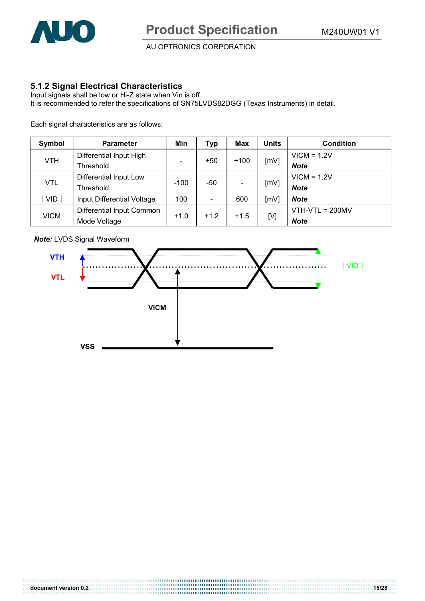

#### **5.1.2 Signal Electrical Characteristics**

Input signals shall be low or Hi-Z state when Vin is off It is recommended to refer the specifications of SN75LVDS82DGG (Texas Instruments) in detail.

Each signal characteristics are as follows;

| Symbol      | <b>Parameter</b>           | Min                          | Typ                      | Max    | Units | <b>Condition</b>  |
|-------------|----------------------------|------------------------------|--------------------------|--------|-------|-------------------|
|             | Differential Input High    |                              |                          |        |       | $VICM = 1.2V$     |
| <b>VTH</b>  | Threshold                  | $\qquad \qquad \blacksquare$ | $+50$                    | $+100$ | [mV]  | <b>Note</b>       |
| <b>VTL</b>  | Differential Input Low     |                              | -50                      |        | [mV]  | $VICM = 1.2V$     |
|             | Threshold                  | $-100$                       |                          |        |       | <b>Note</b>       |
| <b>VID</b>  | Input Differential Voltage | 100                          | $\overline{\phantom{0}}$ | 600    | [mV]  | <b>Note</b>       |
|             | Differential Input Common  |                              |                          | $+1.5$ | [V]   | $VTH-VTL = 200MV$ |
| <b>VICM</b> | Mode Voltage               | $+1.0$                       | $+1.2$                   |        |       | <b>Note</b>       |



*Note:* LVDS Signal Waveform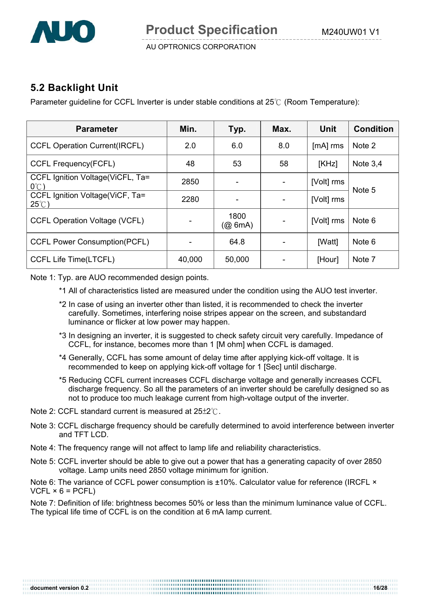

# **5.2 Backlight Unit**

Parameter guideline for CCFL Inverter is under stable conditions at  $25^{\circ}$  (Room Temperature):

| <b>Parameter</b>                                    | Min.   | Typ.               | Max. | <b>Unit</b> | <b>Condition</b> |
|-----------------------------------------------------|--------|--------------------|------|-------------|------------------|
| <b>CCFL Operation Current(IRCFL)</b>                | 2.0    | 6.0                | 8.0  | [mA] rms    | Note 2           |
| <b>CCFL Frequency(FCFL)</b>                         | 48     | 53                 | 58   | [KHz]       | Note $3,4$       |
| CCFL Ignition Voltage (ViCFL, Ta=<br>$0^{\circ}$ C) | 2850   |                    |      | [Volt] rms  | Note 5           |
| CCFL Ignition Voltage(ViCF, Ta=<br>$25^{\circ}$ C)  | 2280   |                    |      | [Volt] rms  |                  |
| <b>CCFL Operation Voltage (VCFL)</b>                |        | 1800<br>$(Q\ 6mA)$ |      | [Volt] rms  | Note 6           |
| <b>CCFL Power Consumption(PCFL)</b>                 |        | 64.8               |      | [Watt]      | Note 6           |
| <b>CCFL Life Time(LTCFL)</b>                        | 40,000 | 50,000             |      | [Hour]      | Note 7           |

Note 1: Typ. are AUO recommended design points.

- \*1 All of characteristics listed are measured under the condition using the AUO test inverter.
- \*2 In case of using an inverter other than listed, it is recommended to check the inverter carefully. Sometimes, interfering noise stripes appear on the screen, and substandard luminance or flicker at low power may happen.
- \*3 In designing an inverter, it is suggested to check safety circuit very carefully. Impedance of CCFL, for instance, becomes more than 1 [M ohm] when CCFL is damaged.
- \*4 Generally, CCFL has some amount of delay time after applying kick-off voltage. It is recommended to keep on applying kick-off voltage for 1 [Sec] until discharge.
- \*5 Reducing CCFL current increases CCFL discharge voltage and generally increases CCFL discharge frequency. So all the parameters of an inverter should be carefully designed so as not to produce too much leakage current from high-voltage output of the inverter.
- Note 2: CCFL standard current is measured at  $25\pm2^{\circ}$ .
- Note 3: CCFL discharge frequency should be carefully determined to avoid interference between inverter and TFT LCD
- Note 4: The frequency range will not affect to lamp life and reliability characteristics.
- Note 5: CCFL inverter should be able to give out a power that has a generating capacity of over 2850 voltage. Lamp units need 2850 voltage minimum for ignition.

Note 6: The variance of CCFL power consumption is ±10%. Calculator value for reference (IRCFL ×  $VCFL \times 6 = PCFL$ 

Note 7: Definition of life: brightness becomes 50% or less than the minimum luminance value of CCFL. The typical life time of CCFL is on the condition at 6 mA lamp current.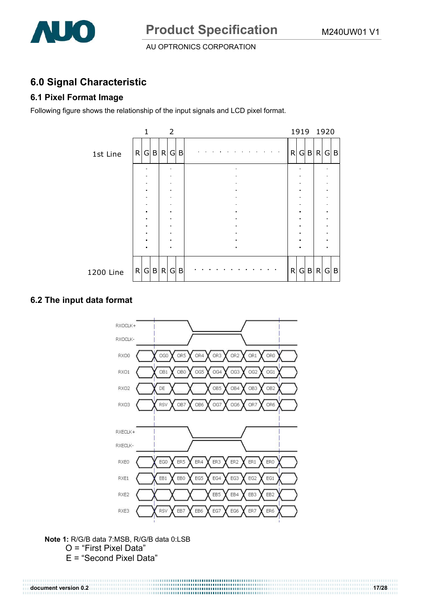

# **6.0 Signal Characteristic**

### **6.1 Pixel Format Image**

Following figure shows the relationship of the input signals and LCD pixel format.

|           |         | 1              |  | 2              |   |                |   |                |         | 1919 1920 |                                  |  |
|-----------|---------|----------------|--|----------------|---|----------------|---|----------------|---------|-----------|----------------------------------|--|
| 1st Line  | R G B R |                |  | G              | B | $\sim 10$      | R |                | $G$ $B$ | R         | $G \mid B$                       |  |
|           |         |                |  |                |   |                |   |                |         |           |                                  |  |
|           |         |                |  |                |   |                |   |                |         |           |                                  |  |
|           |         |                |  |                |   |                |   |                |         |           |                                  |  |
|           |         |                |  |                |   |                |   |                |         |           |                                  |  |
|           |         | $\blacksquare$ |  | $\blacksquare$ |   |                |   | ٠              |         |           | $\blacksquare$<br>$\blacksquare$ |  |
|           |         | ٠              |  |                |   |                |   | ٠              |         |           | $\blacksquare$                   |  |
|           |         |                |  |                |   |                |   | ×              |         |           | $\blacksquare$                   |  |
|           |         |                |  |                |   | $\blacksquare$ |   | $\blacksquare$ |         |           | $\blacksquare$                   |  |
| 1200 Line | R G B R |                |  | G              | B |                | R |                | $G$ $B$ | R         | $G \mid B$                       |  |

#### **6.2 The input data format**



**Note 1:** R/G/B data 7:MSB, R/G/B data 0:LSB O = "First Pixel Data"

E = "Second Pixel Data"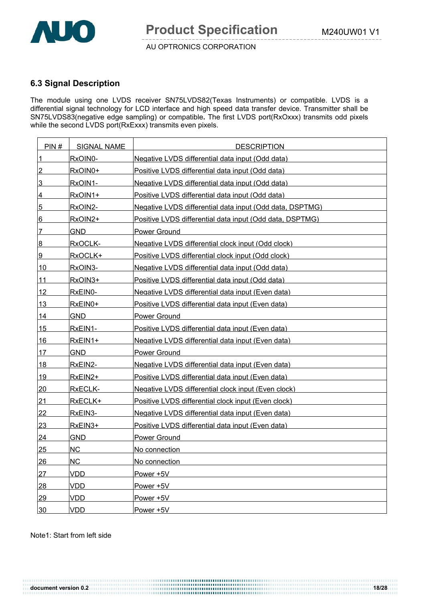

#### **6.3 Signal Description**

The module using one LVDS receiver SN75LVDS82(Texas Instruments) or compatible. LVDS is a differential signal technology for LCD interface and high speed data transfer device. Transmitter shall be SN75LVDS83(negative edge sampling) or compatible**.** The first LVDS port(RxOxxx) transmits odd pixels while the second LVDS port(RxExxx) transmits even pixels.

| PIN#            | <b>SIGNAL NAME</b> | <b>DESCRIPTION</b>                                       |
|-----------------|--------------------|----------------------------------------------------------|
| $\overline{1}$  | RxOIN0-            | Negative LVDS differential data input (Odd data)         |
| $\overline{2}$  | RxOIN0+            | Positive LVDS differential data input (Odd data)         |
| 3               | RxOIN1-            | Negative LVDS differential data input (Odd data)         |
| 4               | RxOIN1+            | Positive LVDS differential data input (Odd data)         |
| $\overline{5}$  | RxOIN2-            | Negative LVDS differential data input (Odd data, DSPTMG) |
| 6               | RxOIN2+            | Positive LVDS differential data input (Odd data, DSPTMG) |
| $\overline{7}$  | <b>GND</b>         | Power Ground                                             |
| 8               | RxOCLK-            | Negative LVDS differential clock input (Odd clock)       |
| 9               | RxOCLK+            | Positive LVDS differential clock input (Odd clock)       |
| 10              | RxOIN3-            | Negative LVDS differential data input (Odd data)         |
| 11              | RxOIN3+            | Positive LVDS differential data input (Odd data)         |
| 12              | RxEIN0-            | Negative LVDS differential data input (Even data)        |
| 13              | RxEIN0+            | Positive LVDS differential data input (Even data)        |
| 14              | GND.               | <b>Power Ground</b>                                      |
| 15              | RxEIN1-            | Positive LVDS differential data input (Even data)        |
| 16              | RxEIN1+            | Negative LVDS differential data input (Even data)        |
| 17              | <b>GND</b>         | <b>Power Ground</b>                                      |
| 18              | RxEIN2-            | Negative LVDS differential data input (Even data)        |
| 19              | RxEIN2+            | Positive LVDS differential data input (Even data)        |
| <u>20</u>       | RxECLK-            | Negative LVDS differential clock input (Even clock)      |
| 21              | RxECLK+            | Positive LVDS differential clock input (Even clock)      |
| 22              | RxEIN3-            | Negative LVDS differential data input (Even data)        |
| 23              | RxEIN3+            | Positive LVDS differential data input (Even data)        |
| 24              | <b>GND</b>         | <b>Power Ground</b>                                      |
| <u>25</u>       | NC                 | No connection                                            |
| 26              | <b>NC</b>          | No connection                                            |
| 27              | <b>VDD</b>         | Power +5V                                                |
| 28              | <b>VDD</b>         | Power +5V                                                |
| 29              | <b>VDD</b>         | Power +5V                                                |
| 30 <sub>2</sub> | <b>VDD</b>         | Power +5V                                                |

Note1: Start from left side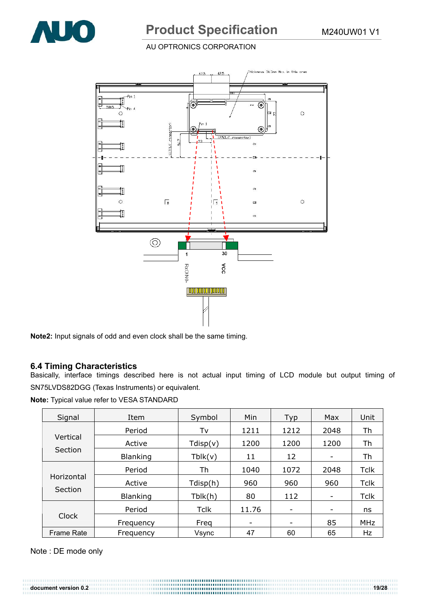

#### AU OPTRONICS CORPORATION



**Note2:** Input signals of odd and even clock shall be the same timing.

#### **6.4 Timing Characteristics**

Basically, interface timings described here is not actual input timing of LCD module but output timing of SN75LVDS82DGG (Texas Instruments) or equivalent.

**Note:** Typical value refer to VESA STANDARD

| Signal                | Item            | Symbol      | Min   | Typ  | Max                          | Unit        |
|-----------------------|-----------------|-------------|-------|------|------------------------------|-------------|
|                       | Period          | Tv          | 1211  | 1212 | 2048                         | Th          |
| Vertical              | Active          | Tdisp(v)    | 1200  | 1200 | 1200                         | Th          |
| Section               | <b>Blanking</b> | Tblk(v)     | 11    | 12   | $\qquad \qquad \blacksquare$ | Th          |
| Horizontal<br>Section | Period          | Th          | 1040  | 1072 | 2048                         | <b>Tclk</b> |
|                       | Active          | Tdisp(h)    | 960   | 960  | 960                          | <b>Tclk</b> |
|                       | <b>Blanking</b> | Tblk(h)     | 80    | 112  | -                            | <b>Tclk</b> |
| Clock                 | Period          | <b>Tclk</b> | 11.76 | -    |                              | ns          |
|                       | Frequency       | Freq        | -     | -    | 85                           | <b>MHz</b>  |
| <b>Frame Rate</b>     | Frequency       | Vsync       | 47    | 60   | 65                           | Hz          |

Note : DE mode only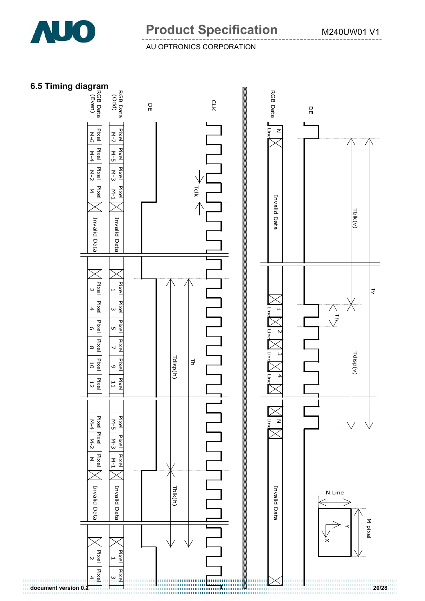

#### AU OPTRONICS CORPORATION

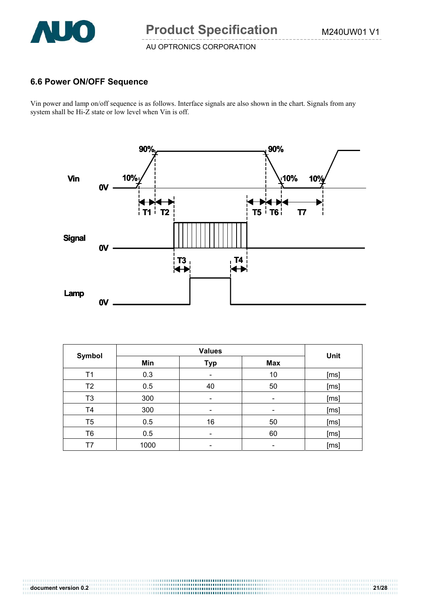

#### **6.6 Power ON/OFF Sequence**

Vin power and lamp on/off sequence is as follows. Interface signals are also shown in the chart. Signals from any system shall be Hi-Z state or low level when Vin is off.



| Symbol         |      | Unit       |            |      |
|----------------|------|------------|------------|------|
|                | Min  | <b>Typ</b> | <b>Max</b> |      |
| T1             | 0.3  | -          | 10         | [ms] |
| T <sub>2</sub> | 0.5  | 40         | 50         | [ms] |
| T <sub>3</sub> | 300  |            | -          | [ms] |
| T4             | 300  |            | -          | [ms] |
| T <sub>5</sub> | 0.5  | 16         | 50         | [ms] |
| T <sub>6</sub> | 0.5  |            | 60         | [ms] |
| Τ7             | 1000 |            |            | [ms] |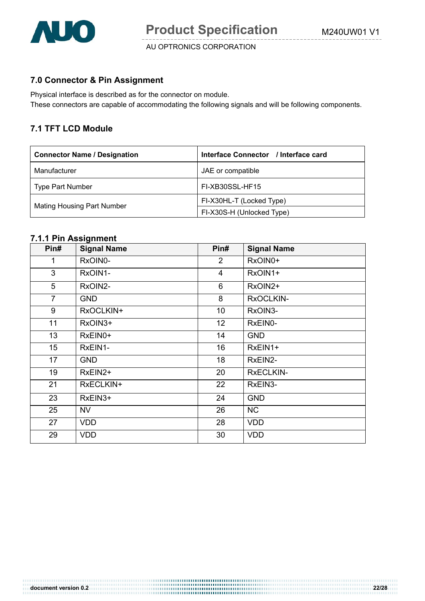

#### **7.0 Connector & Pin Assignment**

Physical interface is described as for the connector on module. These connectors are capable of accommodating the following signals and will be following components.

#### **7.1 TFT LCD Module**

| <b>Connector Name / Designation</b> | Interface Connector / Interface card |
|-------------------------------------|--------------------------------------|
| Manufacturer                        | JAE or compatible                    |
| <b>Type Part Number</b>             | FI-XB30SSL-HF15                      |
|                                     | FI-X30HL-T (Locked Type)             |
| <b>Mating Housing Part Number</b>   | FI-X30S-H (Unlocked Type)            |

#### **7.1.1 Pin Assignment**

| Pin#           | <b>Signal Name</b> | Pin#           | <b>Signal Name</b> |
|----------------|--------------------|----------------|--------------------|
| 1              | RxOIN0-            | $\overline{2}$ | RxOIN0+            |
| 3              | RxOIN1-            | $\overline{4}$ | RxOIN1+            |
| 5              | RxOIN2-            | 6              | RxOIN2+            |
| $\overline{7}$ | <b>GND</b>         | 8              | RxOCLKIN-          |
| 9              | RxOCLKIN+          | 10             | RxOIN3-            |
| 11             | RxOIN3+            | 12             | RxEIN0-            |
| 13             | RxEIN0+            | 14             | <b>GND</b>         |
| 15             | RxEIN1-            | 16             | RxEIN1+            |
| 17             | <b>GND</b>         | 18             | RxEIN2-            |
| 19             | RxEIN2+            | 20             | <b>RxECLKIN-</b>   |
| 21             | RxECLKIN+          | 22             | RxEIN3-            |
| 23             | RxEIN3+            | 24             | <b>GND</b>         |
| 25             | NV                 | 26             | <b>NC</b>          |
| 27             | <b>VDD</b>         | 28             | <b>VDD</b>         |
| 29             | <b>VDD</b>         | 30             | <b>VDD</b>         |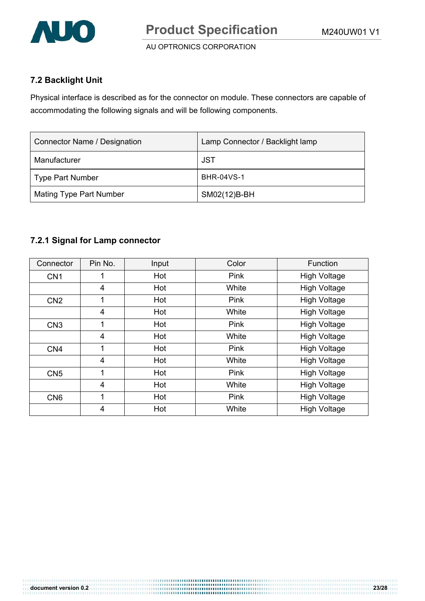

#### **7.2 Backlight Unit**

Physical interface is described as for the connector on module. These connectors are capable of accommodating the following signals and will be following components.

| Connector Name / Designation | Lamp Connector / Backlight lamp |
|------------------------------|---------------------------------|
| Manufacturer                 | JST                             |
| <b>Type Part Number</b>      | <b>BHR-04VS-1</b>               |
| Mating Type Part Number      | SM02(12)B-BH                    |

#### **7.2.1 Signal for Lamp connector**

| Connector       | Pin No. | Input | Color | Function            |
|-----------------|---------|-------|-------|---------------------|
| CN <sub>1</sub> |         | Hot   | Pink  | <b>High Voltage</b> |
|                 | 4       | Hot   | White | <b>High Voltage</b> |
| CN <sub>2</sub> | 1       | Hot   | Pink  | <b>High Voltage</b> |
|                 | 4       | Hot   | White | <b>High Voltage</b> |
| CN <sub>3</sub> | 1       | Hot   | Pink  | <b>High Voltage</b> |
|                 | 4       | Hot   | White | <b>High Voltage</b> |
| CN <sub>4</sub> | 1       | Hot   | Pink  | <b>High Voltage</b> |
|                 | 4       | Hot   | White | <b>High Voltage</b> |
| CN <sub>5</sub> | 1       | Hot   | Pink  | <b>High Voltage</b> |
|                 | 4       | Hot   | White | <b>High Voltage</b> |
| CN <sub>6</sub> | 1       | Hot   | Pink  | <b>High Voltage</b> |
|                 | 4       | Hot   | White | <b>High Voltage</b> |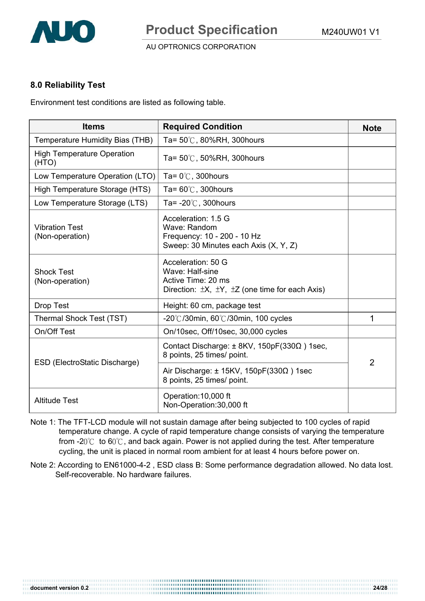

#### **8.0 Reliability Test**

Environment test conditions are listed as following table.

| <b>Items</b>                               | <b>Required Condition</b>                                                                                                      | <b>Note</b>    |  |
|--------------------------------------------|--------------------------------------------------------------------------------------------------------------------------------|----------------|--|
| Temperature Humidity Bias (THB)            | Ta= $50^{\circ}$ C, 80%RH, 300 hours                                                                                           |                |  |
| <b>High Temperature Operation</b><br>(HTO) | Ta= $50^{\circ}$ C, $50\%$ RH, 300 hours                                                                                       |                |  |
| Low Temperature Operation (LTO)            | Ta= $0^{\circ}$ C, 300 hours                                                                                                   |                |  |
| High Temperature Storage (HTS)             | Ta= $60^{\circ}$ C, 300 hours                                                                                                  |                |  |
| Low Temperature Storage (LTS)              | Ta= $-20^{\circ}$ C, 300 hours                                                                                                 |                |  |
| <b>Vibration Test</b><br>(Non-operation)   | Acceleration: 1.5 G<br>Wave: Random<br>Frequency: 10 - 200 - 10 Hz<br>Sweep: 30 Minutes each Axis (X, Y, Z)                    |                |  |
| <b>Shock Test</b><br>(Non-operation)       | Acceleration: 50 G<br>Wave: Half-sine<br>Active Time: 20 ms<br>Direction: $\pm X$ , $\pm Y$ , $\pm Z$ (one time for each Axis) |                |  |
| <b>Drop Test</b>                           | Height: 60 cm, package test                                                                                                    |                |  |
| Thermal Shock Test (TST)                   | $-20^{\circ}$ C/30min, 60 $^{\circ}$ C/30min, 100 cycles                                                                       | 1              |  |
| On/Off Test                                | On/10sec, Off/10sec, 30,000 cycles                                                                                             |                |  |
| ESD (ElectroStatic Discharge)              | Contact Discharge: $\pm$ 8KV, 150pF(330 $\Omega$ ) 1sec,<br>8 points, 25 times/ point.                                         | $\overline{2}$ |  |
|                                            | Air Discharge: $\pm$ 15KV, 150pF(330 $\Omega$ ) 1sec<br>8 points, 25 times/ point.                                             |                |  |
| <b>Altitude Test</b>                       | Operation: 10,000 ft<br>Non-Operation: 30,000 ft                                                                               |                |  |

- Note 1: The TFT-LCD module will not sustain damage after being subjected to 100 cycles of rapid temperature change. A cycle of rapid temperature change consists of varying the temperature from -2 $0^{\circ}$  to 6 $0^{\circ}$ C, and back again. Power is not applied during the test. After temperature cycling, the unit is placed in normal room ambient for at least 4 hours before power on.
- Note 2: According to EN61000-4-2 , ESD class B: Some performance degradation allowed. No data lost. Self-recoverable. No hardware failures.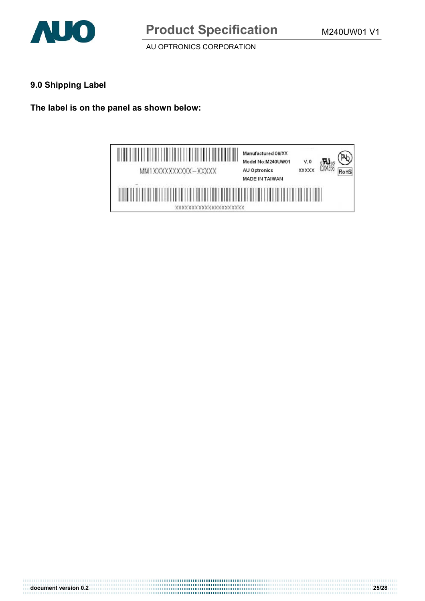

#### **9.0 Shipping Label**

**The label is on the panel as shown below:** 



**document version 0.2 25/28**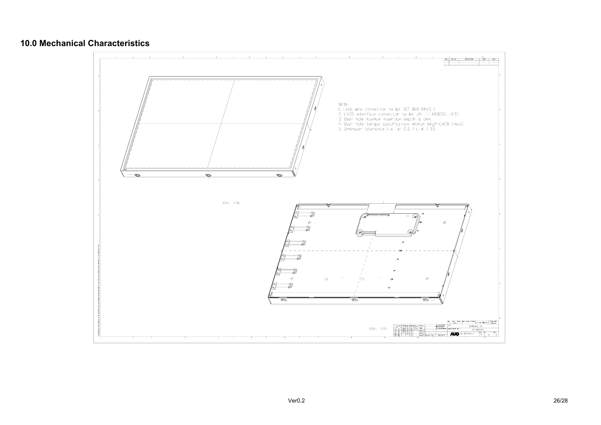#### **10.0 Mechanical Characteristics**

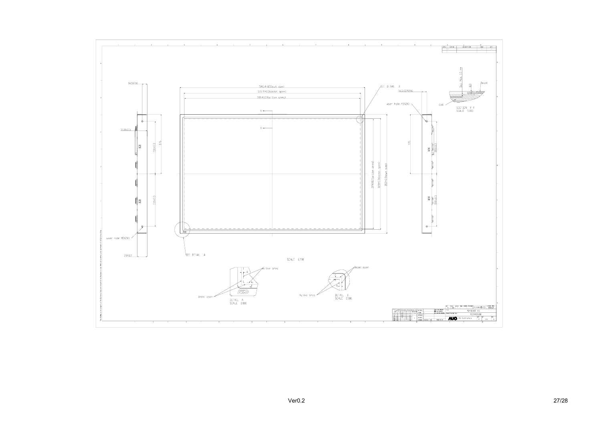